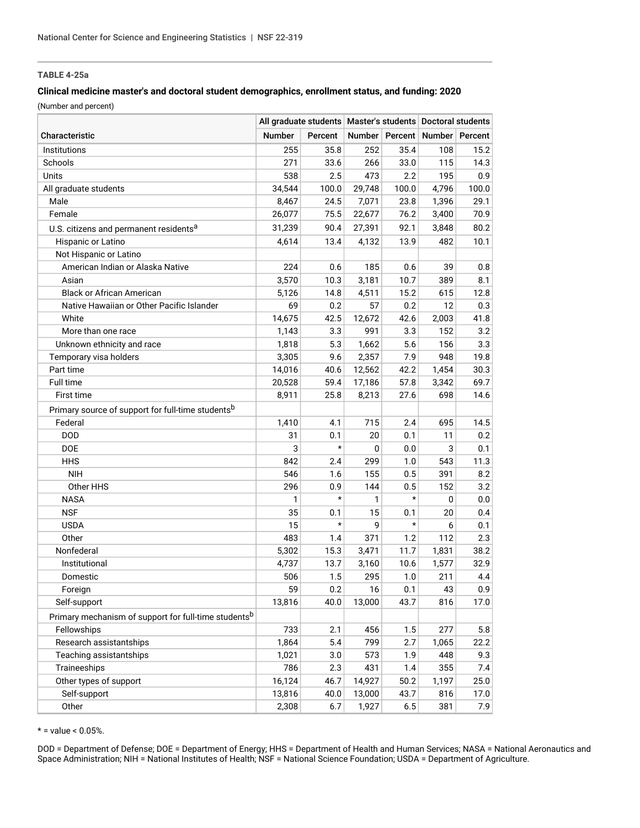## **TABLE 4-25a**

## **Clinical medicine master's and doctoral student demographics, enrollment status, and funding: 2020**

(Number and percent)

|                                                                  | All graduate students   Master's students   Doctoral students |         |        |         |                                     |       |
|------------------------------------------------------------------|---------------------------------------------------------------|---------|--------|---------|-------------------------------------|-------|
| Characteristic                                                   | <b>Number</b>                                                 | Percent |        |         | Number   Percent   Number   Percent |       |
| Institutions                                                     | 255                                                           | 35.8    | 252    | 35.4    | 108                                 | 15.2  |
| Schools                                                          | 271                                                           | 33.6    | 266    | 33.0    | 115                                 | 14.3  |
| Units                                                            | 538                                                           | 2.5     | 473    | 2.2     | 195                                 | 0.9   |
| All graduate students                                            | 34,544                                                        | 100.0   | 29,748 | 100.0   | 4,796                               | 100.0 |
| Male                                                             | 8,467                                                         | 24.5    | 7,071  | 23.8    | 1,396                               | 29.1  |
| Female                                                           | 26,077                                                        | 75.5    | 22,677 | 76.2    | 3,400                               | 70.9  |
| U.S. citizens and permanent residents <sup>a</sup>               | 31,239                                                        | 90.4    | 27,391 | 92.1    | 3,848                               | 80.2  |
| Hispanic or Latino                                               | 4.614                                                         | 13.4    | 4,132  | 13.9    | 482                                 | 10.1  |
| Not Hispanic or Latino                                           |                                                               |         |        |         |                                     |       |
| American Indian or Alaska Native                                 | 224                                                           | 0.6     | 185    | 0.6     | 39                                  | 0.8   |
| Asian                                                            | 3,570                                                         | 10.3    | 3,181  | 10.7    | 389                                 | 8.1   |
| <b>Black or African American</b>                                 | 5,126                                                         | 14.8    | 4,511  | 15.2    | 615                                 | 12.8  |
| Native Hawaiian or Other Pacific Islander                        | 69                                                            | 0.2     | 57     | 0.2     | 12                                  | 0.3   |
| White                                                            | 14,675                                                        | 42.5    | 12,672 | 42.6    | 2,003                               | 41.8  |
| More than one race                                               | 1,143                                                         | 3.3     | 991    | 3.3     | 152                                 | 3.2   |
| Unknown ethnicity and race                                       | 1,818                                                         | 5.3     | 1,662  | 5.6     | 156                                 | 3.3   |
| Temporary visa holders                                           | 3,305                                                         | 9.6     | 2,357  | 7.9     | 948                                 | 19.8  |
| Part time                                                        | 14,016                                                        | 40.6    | 12,562 | 42.2    | 1,454                               | 30.3  |
| Full time                                                        | 20,528                                                        | 59.4    | 17,186 | 57.8    | 3,342                               | 69.7  |
| First time                                                       | 8,911                                                         | 25.8    | 8,213  | 27.6    | 698                                 | 14.6  |
| Primary source of support for full-time students <sup>b</sup>    |                                                               |         |        |         |                                     |       |
| Federal                                                          | 1,410                                                         | 4.1     | 715    | 2.4     | 695                                 | 14.5  |
| <b>DOD</b>                                                       | 31                                                            | 0.1     | 20     | 0.1     | 11                                  | 0.2   |
| DOE                                                              | 3                                                             | $\star$ | 0      | 0.0     | 3                                   | 0.1   |
| <b>HHS</b>                                                       | 842                                                           | 2.4     | 299    | 1.0     | 543                                 | 11.3  |
| <b>NIH</b>                                                       | 546                                                           | 1.6     | 155    | 0.5     | 391                                 | 8.2   |
| Other HHS                                                        | 296                                                           | 0.9     | 144    | 0.5     | 152                                 | 3.2   |
| <b>NASA</b>                                                      | 1                                                             | $\star$ | 1      | $\star$ | 0                                   | 0.0   |
| <b>NSF</b>                                                       | 35                                                            | 0.1     | 15     | 0.1     | 20                                  | 0.4   |
| <b>USDA</b>                                                      | 15                                                            | $\star$ | 9      | $\star$ | 6                                   | 0.1   |
| Other                                                            | 483                                                           | 1.4     | 371    | 1.2     | 112                                 | 2.3   |
| Nonfederal                                                       | 5,302                                                         | 15.3    | 3,471  | 11.7    | 1,831                               | 38.2  |
| Institutional                                                    | 4,737                                                         | 13.7    | 3,160  | 10.6    | 1,577                               | 32.9  |
| Domestic                                                         | 506                                                           | 1.5     | 295    | 1.0     | 211                                 | 4.4   |
| Foreign                                                          | 59                                                            | 0.2     | 16     | 0.1     | 43                                  | 0.9   |
| Self-support                                                     | 13,816                                                        | 40.0    | 13,000 | 43.7    | 816                                 | 17.0  |
| Primary mechanism of support for full-time students <sup>b</sup> |                                                               |         |        |         |                                     |       |
| Fellowships                                                      | 733                                                           | 2.1     | 456    | 1.5     | 277                                 | 5.8   |
| Research assistantships                                          | 1,864                                                         | 5.4     | 799    | 2.7     | 1,065                               | 22.2  |
| Teaching assistantships                                          | 1,021                                                         | 3.0     | 573    | 1.9     | 448                                 | 9.3   |
| Traineeships                                                     | 786                                                           | 2.3     | 431    | 1.4     | 355                                 | 7.4   |
| Other types of support                                           | 16,124                                                        | 46.7    | 14,927 | 50.2    | 1,197                               | 25.0  |
| Self-support                                                     | 13,816                                                        | 40.0    | 13,000 | 43.7    | 816                                 | 17.0  |
| Other                                                            | 2,308                                                         | 6.7     | 1,927  | $6.5\,$ | 381                                 | 7.9   |

 $* =$  value < 0.05%.

DOD = Department of Defense; DOE = Department of Energy; HHS = Department of Health and Human Services; NASA = National Aeronautics and Space Administration; NIH = National Institutes of Health; NSF = National Science Foundation; USDA = Department of Agriculture.